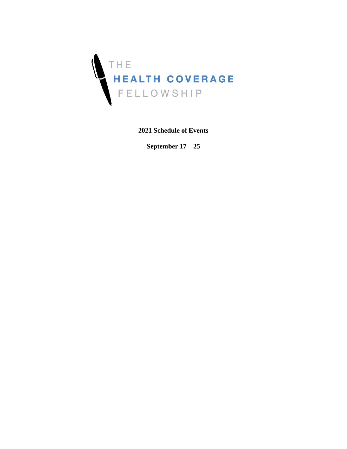

**2021 Schedule of Events**

**September 17 – 25**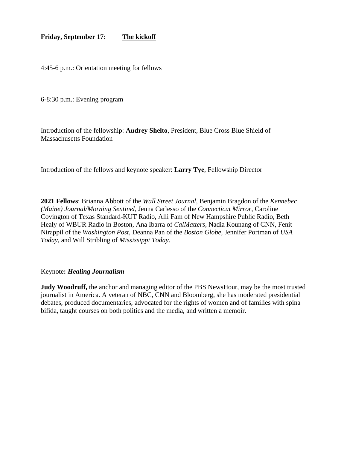## **Friday, September 17: The kickoff**

4:45-6 p.m.: Orientation meeting for fellows

6-8:30 p.m.: Evening program

Introduction of the fellowship: **Audrey Shelto**, President, Blue Cross Blue Shield of Massachusetts Foundation

Introduction of the fellows and keynote speaker: **Larry Tye**, Fellowship Director

**2021 Fellows**: Brianna Abbott of the *Wall Street Journal,* Benjamin Bragdon of the *Kennebec (Maine) Journal/Morning Sentinel*, Jenna Carlesso of the *Connecticut Mirror*, Caroline Covington of Texas Standard-KUT Radio, Alli Fam of New Hampshire Public Radio, Beth Healy of WBUR Radio in Boston, Ana Ibarra of *CalMatters*, Nadia Kounang of CNN, Fenit Nirappil of the *Washington Post*, Deanna Pan of the *Boston Globe*, Jennifer Portman of *USA Today*, and Will Stribling of *Mississippi Today.* 

## Keynote**:** *Healing Journalism*

**Judy Woodruff,** the anchor and managing editor of the PBS NewsHour, may be the most trusted journalist in America. A veteran of NBC, CNN and Bloomberg, she has moderated presidential debates, produced documentaries, advocated for the rights of women and of families with spina bifida, taught courses on both politics and the media, and written a memoir.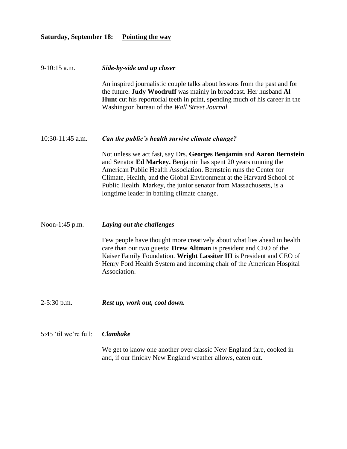## **Saturday, September 18: Pointing the way**

| 9-10:15 a.m.          | Side-by-side and up closer                                                                                                                                                                                                                                                                                                                                                                                |
|-----------------------|-----------------------------------------------------------------------------------------------------------------------------------------------------------------------------------------------------------------------------------------------------------------------------------------------------------------------------------------------------------------------------------------------------------|
|                       | An inspired journalistic couple talks about lessons from the past and for<br>the future. Judy Woodruff was mainly in broadcast. Her husband Al<br>Hunt cut his reportorial teeth in print, spending much of his career in the<br>Washington bureau of the Wall Street Journal.                                                                                                                            |
| 10:30-11:45 a.m.      | Can the public's health survive climate change?                                                                                                                                                                                                                                                                                                                                                           |
|                       | Not unless we act fast, say Drs. Georges Benjamin and Aaron Bernstein<br>and Senator Ed Markey. Benjamin has spent 20 years running the<br>American Public Health Association. Bernstein runs the Center for<br>Climate, Health, and the Global Environment at the Harvard School of<br>Public Health. Markey, the junior senator from Massachusetts, is a<br>longtime leader in battling climate change. |
| Noon-1:45 p.m.        | Laying out the challenges                                                                                                                                                                                                                                                                                                                                                                                 |
|                       | Few people have thought more creatively about what lies ahead in health<br>care than our two guests: Drew Altman is president and CEO of the<br>Kaiser Family Foundation. Wright Lassiter III is President and CEO of<br>Henry Ford Health System and incoming chair of the American Hospital<br>Association.                                                                                             |
| $2-5:30$ p.m.         | Rest up, work out, cool down.                                                                                                                                                                                                                                                                                                                                                                             |
| 5:45 'til we're full: | <b>Clambake</b>                                                                                                                                                                                                                                                                                                                                                                                           |
|                       | We get to know one another over classic New England fare, cooked in<br>and, if our finicky New England weather allows, eaten out.                                                                                                                                                                                                                                                                         |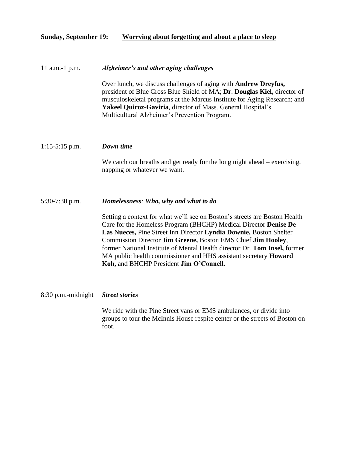## **Sunday, September 19: Worrying about forgetting and about a place to sleep**

## 11 a.m.-1 p.m. *Alzheimer's and other aging challenges*

Over lunch, we discuss challenges of aging with **Andrew Dreyfus,**  president of Blue Cross Blue Shield of MA; **Dr**. **Douglas Kiel,** director of musculoskeletal programs at the Marcus Institute for Aging Research; and **Yakeel Quiroz-Gaviria**, director of Mass. General Hospital's Multicultural Alzheimer's Prevention Program.

### 1:15-5:15 p.m. *Down time*

We catch our breaths and get ready for the long night ahead – exercising, napping or whatever we want.

## 5:30-7:30 p.m. *Homelessness: Who, why and what to do*

Setting a context for what we'll see on Boston's streets are Boston Health Care for the Homeless Program (BHCHP) Medical Director **Denise De Las Nueces,** Pine Street Inn Director **Lyndia Downie,** Boston Shelter Commission Director **Jim Greene,** Boston EMS Chief **Jim Hooley**, former National Institute of Mental Health director Dr. **Tom Insel,** former MA public health commissioner and HHS assistant secretary **Howard Koh,** and BHCHP President **Jim O'Connell.**

#### 8:30 p.m.-midnight *Street stories*

We ride with the Pine Street vans or EMS ambulances, or divide into groups to tour the McInnis House respite center or the streets of Boston on foot.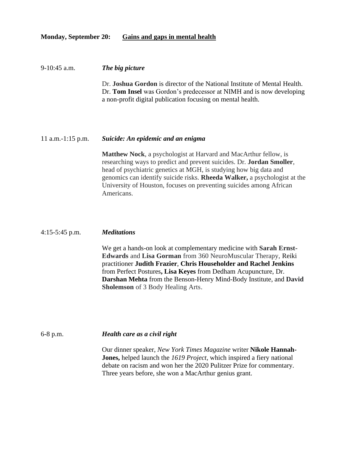## **Monday, September 20: Gains and gaps in mental health**

#### 9-10:45 a.m. *The big picture*

Dr. **Joshua Gordon** is director of the National Institute of Mental Health. Dr. **Tom Insel** was Gordon's predecessor at NIMH and is now developing a non-profit digital publication focusing on mental health.

#### 11 a.m.-1:15 p.m. *Suicide: An epidemic and an enigma*

**Matthew Nock**, a psychologist at Harvard and MacArthur fellow, is researching ways to predict and prevent suicides. Dr. **Jordan Smoller**, head of psychiatric genetics at MGH, is studying how big data and genomics can identify suicide risks. **Rheeda Walker,** a psychologist at the University of Houston, focuses on preventing suicides among African Americans.

#### 4:15-5:45 p.m. *Meditations*

We get a hands-on look at complementary medicine with **Sarah Ernst-Edwards** and **Lisa Gorman** from 360 NeuroMuscular Therapy, Reiki practitioner **Judith Frazier**, **Chris Householder and Rachel Jenkins** from Perfect Postures**, Lisa Keyes** from Dedham Acupuncture, Dr. **Darshan Mehta** from the Benson-Henry Mind-Body Institute, and **David Sholemson** of 3 Body Healing Arts.

#### 6-8 p.m. *Health care as a civil right*

Our dinner speaker, *New York Times Magazine* writer **Nikole Hannah-Jones,** helped launch the *1619 Project,* which inspired a fiery national debate on racism and won her the 2020 Pulitzer Prize for commentary. Three years before, she won a MacArthur genius grant.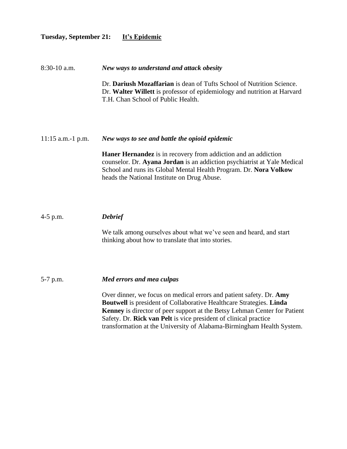## **Tuesday, September 21: It's Epidemic**

8:30-10 a.m. *New ways to understand and attack obesity*

Dr. **Dariush Mozaffarian** is dean of Tufts School of Nutrition Science. Dr. **Walter Willett** is professor of epidemiology and nutrition at Harvard T.H. Chan School of Public Health.

11:15 a.m.-1 p.m. *New ways to see and battle the opioid epidemic*

**Haner Hernandez** is in recovery from addiction and an addiction counselor. Dr. **Ayana Jordan** is an addiction psychiatrist at Yale Medical School and runs its Global Mental Health Program. Dr. **Nora Volkow**  heads the National Institute on Drug Abuse.

## 4-5 p.m. *Debrief*

We talk among ourselves about what we've seen and heard, and start thinking about how to translate that into stories.

5-7 p.m. *Med errors and mea culpas*

Over dinner, we focus on medical errors and patient safety. Dr. **Amy Boutwell** is president of Collaborative Healthcare Strategies. **Linda Kenney** is director of peer support at the Betsy Lehman Center for Patient Safety. Dr. **Rick van Pelt** is vice president of clinical practice transformation at the University of Alabama-Birmingham Health System.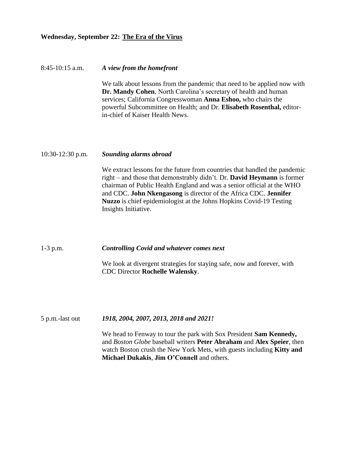## **Wednesday, September 22: The Era of the Virus**

# 8:45-10:15 a.m. *A view from the homefront* We talk about lessons from the pandemic that need to be applied now with **Dr. Mandy Cohen**, North Carolina's secretary of health and human services; California Congresswoman **Anna Eshoo,** who chairs the powerful Subcommittee on Health; and Dr. **Elisabeth Rosenthal,** editorin-chief of Kaiser Health News.

## 10:30-12:30 p.m. *Sounding alarms abroad*

We extract lessons for the future from countries that handled the pandemic right – and those that demonstrably didn't. Dr. **David Heymann** is former chairman of Public Health England and was a senior official at the WHO and CDC. **John Nkengasong** is director of the Africa CDC. **Jennifer Nuzzo** is chief epidemiologist at the Johns Hopkins Covid-19 Testing Insights Initiative.

1-3 p.m. *Controlling Covid and whatever comes next*

We look at divergent strategies for staying safe, now and forever, with CDC Director **Rochelle Walensky**.

5 p.m.-last out *1918, 2004, 2007, 2013, 2018 and 2021!*

We head to Fenway to tour the park with Sox President **Sam Kennedy,**  and *Boston Globe* baseball writers **Peter Abraham** and **Alex Speier**, then watch Boston crush the New York Mets, with guests including **Kitty and Michael Dukakis**, **Jim O'Connell** and others.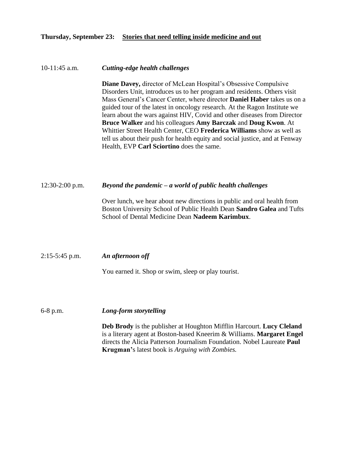## **Thursday, September 23: Stories that need telling inside medicine and out**

## 10-11:45 a.m. *Cutting-edge health challenges*

**Diane Davey,** director of McLean Hospital's Obsessive Compulsive Disorders Unit, introduces us to her program and residents. Others visit Mass General's Cancer Center, where director **Daniel Haber** takes us on a guided tour of the latest in oncology research. At the Ragon Institute we learn about the wars against HIV, Covid and other diseases from Director **Bruce Walker** and his colleagues **Amy Barczak** and **Doug Kwon**. At Whittier Street Health Center, CEO **Frederica Williams** show as well as tell us about their push for health equity and social justice, and at Fenway Health, EVP **Carl Sciortino** does the same.

## 12:30-2:00 p.m. *Beyond the pandemic – a world of public health challenges*

Over lunch, we hear about new directions in public and oral health from Boston University School of Public Health Dean **Sandro Galea** and Tufts School of Dental Medicine Dean **Nadeem Karimbux**.

2:15-5:45 p.m. *An afternoon off*

You earned it. Shop or swim, sleep or play tourist.

6-8 p.m. *Long-form storytelling*

**Deb Brody** is the publisher at Houghton Mifflin Harcourt. **Lucy Cleland**  is a literary agent at Boston-based Kneerim & Williams. **Margaret Engel** directs the Alicia Patterson Journalism Foundation. Nobel Laureate **Paul Krugman'**s latest book is *Arguing with Zombies.*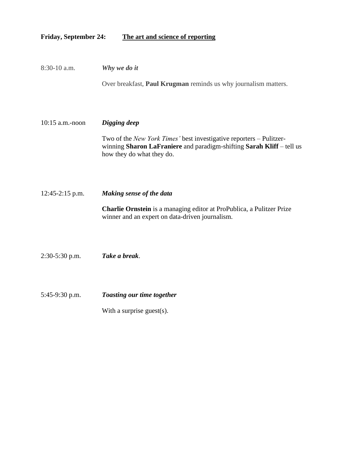## **Friday, September 24: The art and science of reporting**

| 8:30-10 a.m.      | Why we do it                                                                                                                                                              |
|-------------------|---------------------------------------------------------------------------------------------------------------------------------------------------------------------------|
|                   | Over breakfast, Paul Krugman reminds us why journalism matters.                                                                                                           |
| 10:15 a.m.-noon   | Digging deep                                                                                                                                                              |
|                   | Two of the New York Times' best investigative reporters - Pulitzer-<br>winning Sharon LaFraniere and paradigm-shifting Sarah Kliff - tell us<br>how they do what they do. |
|                   |                                                                                                                                                                           |
| $12:45-2:15$ p.m. | Making sense of the data                                                                                                                                                  |
|                   | Charlie Ornstein is a managing editor at ProPublica, a Pulitzer Prize<br>winner and an expert on data-driven journalism.                                                  |
| 2:30-5:30 p.m.    | Take a break.                                                                                                                                                             |
| 5:45-9:30 p.m.    | <b>Toasting our time together</b>                                                                                                                                         |
|                   | With a surprise guest $(s)$ .                                                                                                                                             |